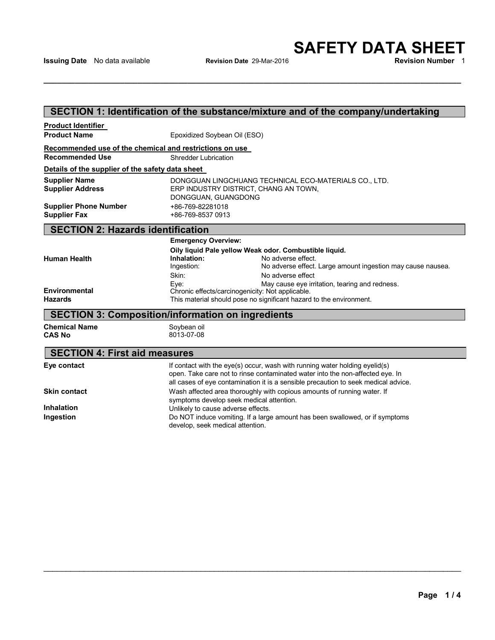# **SECTION 1: Identification of the substance/mixture and of the company/undertaking**

| <b>Product Identifier</b>                               |                                          |                                                                                                                                                                                                                                                    |  |  |  |  |  |  |
|---------------------------------------------------------|------------------------------------------|----------------------------------------------------------------------------------------------------------------------------------------------------------------------------------------------------------------------------------------------------|--|--|--|--|--|--|
| <b>Product Name</b>                                     |                                          | Epoxidized Soybean Oil (ESO)                                                                                                                                                                                                                       |  |  |  |  |  |  |
| Recommended use of the chemical and restrictions on use |                                          |                                                                                                                                                                                                                                                    |  |  |  |  |  |  |
| <b>Recommended Use</b>                                  | <b>Shredder Lubrication</b>              |                                                                                                                                                                                                                                                    |  |  |  |  |  |  |
| Details of the supplier of the safety data sheet        |                                          |                                                                                                                                                                                                                                                    |  |  |  |  |  |  |
| <b>Supplier Name</b><br><b>Supplier Address</b>         |                                          | DONGGUAN LINGCHUANG TECHNICAL ECO-MATERIALS CO., LTD.<br>ERP INDUSTRY DISTRICT, CHANG AN TOWN,<br>DONGGUAN, GUANGDONG                                                                                                                              |  |  |  |  |  |  |
| <b>Supplier Phone Number</b>                            | +86-769-82281018                         |                                                                                                                                                                                                                                                    |  |  |  |  |  |  |
| <b>Supplier Fax</b>                                     | +86-769-8537 0913                        |                                                                                                                                                                                                                                                    |  |  |  |  |  |  |
|                                                         | <b>SECTION 2: Hazards identification</b> |                                                                                                                                                                                                                                                    |  |  |  |  |  |  |
|                                                         |                                          | <b>Emergency Overview:</b>                                                                                                                                                                                                                         |  |  |  |  |  |  |
|                                                         |                                          | Oily liquid Pale yellow Weak odor. Combustible liquid.                                                                                                                                                                                             |  |  |  |  |  |  |
| <b>Human Health</b>                                     | Inhalation:                              | No adverse effect.                                                                                                                                                                                                                                 |  |  |  |  |  |  |
|                                                         | Ingestion:                               | No adverse effect. Large amount ingestion may cause nausea.                                                                                                                                                                                        |  |  |  |  |  |  |
|                                                         | Skin:<br>Eve:                            | No adverse effect<br>May cause eye irritation, tearing and redness.                                                                                                                                                                                |  |  |  |  |  |  |
| <b>Environmental</b>                                    |                                          | Chronic effects/carcinogenicity: Not applicable.                                                                                                                                                                                                   |  |  |  |  |  |  |
| <b>Hazards</b>                                          |                                          | This material should pose no significant hazard to the environment.                                                                                                                                                                                |  |  |  |  |  |  |
| SECTION 3: Composition/information on ingredients       |                                          |                                                                                                                                                                                                                                                    |  |  |  |  |  |  |
| <b>Chemical Name</b><br><b>CAS No</b>                   | Soybean oil<br>8013-07-08                |                                                                                                                                                                                                                                                    |  |  |  |  |  |  |
| <b>SECTION 4: First aid measures</b>                    |                                          |                                                                                                                                                                                                                                                    |  |  |  |  |  |  |
| Eye contact                                             |                                          | If contact with the eye(s) occur, wash with running water holding eyelid(s)<br>open. Take care not to rinse contaminated water into the non-affected eye. In<br>all cases of eye contamination it is a sensible precaution to seek medical advice. |  |  |  |  |  |  |
| <b>Skin contact</b>                                     |                                          | Wash affected area thoroughly with copious amounts of running water. If<br>symptoms develop seek medical attention.                                                                                                                                |  |  |  |  |  |  |
| <b>Inhalation</b>                                       |                                          | Unlikely to cause adverse effects.                                                                                                                                                                                                                 |  |  |  |  |  |  |
| Ingestion                                               |                                          | Do NOT induce vomiting. If a large amount has been swallowed, or if symptoms<br>develop, seek medical attention.                                                                                                                                   |  |  |  |  |  |  |

\_\_\_\_\_\_\_\_\_\_\_\_\_\_\_\_\_\_\_\_\_\_\_\_\_\_\_\_\_\_\_\_\_\_\_\_\_\_\_\_\_\_\_\_\_\_\_\_\_\_\_\_\_\_\_\_\_\_\_\_\_\_\_\_\_\_\_\_\_\_\_\_\_\_\_\_\_\_\_\_\_\_\_\_\_\_\_\_\_\_\_\_\_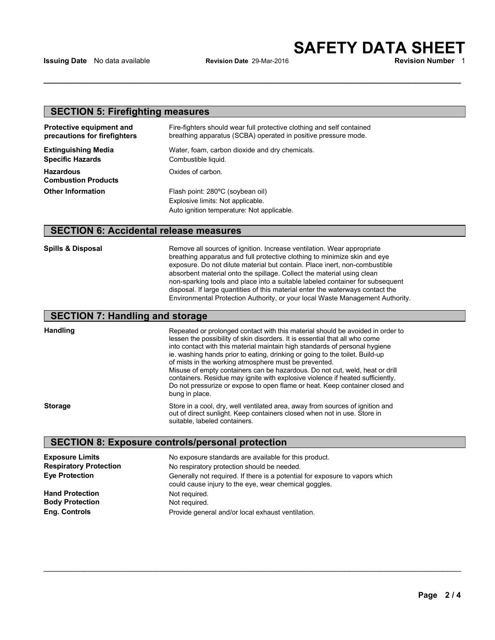## **SECTION 5: Firefighting measures**

| <b>Protective equipment and</b><br>precautions for firefighters | Fire-fighters should wear full protective clothing and self contained<br>breathing apparatus (SCBA) operated in positive pressure mode. |  |  |
|-----------------------------------------------------------------|-----------------------------------------------------------------------------------------------------------------------------------------|--|--|
| <b>Extinguishing Media</b>                                      | Water, foam, carbon dioxide and dry chemicals.                                                                                          |  |  |
| <b>Specific Hazards</b>                                         | Combustible liquid.                                                                                                                     |  |  |
| <b>Hazardous</b><br><b>Combustion Products</b>                  | Oxides of carbon.                                                                                                                       |  |  |
| <b>Other Information</b>                                        | Flash point: 280°C (soybean oil)                                                                                                        |  |  |
|                                                                 | Explosive limits: Not applicable.                                                                                                       |  |  |
|                                                                 | Auto ignition temperature: Not applicable.                                                                                              |  |  |

## **SECTION 6: Accidental release measures**

**Spills & Disposal Remove all sources of ignition. Increase ventilation. Wear appropriate** breathing apparatus and full protective clothing to minimize skin and eye exposure. Do not dilute material but contain. Place inert, non-combustible absorbent material onto the spillage. Collect the material using clean non-sparking tools and place into a suitable labeled container for subsequent disposal. If large quantities of this material enter the waterways contact the Environmental Protection Authority, or your local Waste Management Authority.

## **SECTION 7: Handling and storage**

**Handling**

into contact with this material maintain high standards of personal hygiene<br>in washing hands prior to orting dripking or going to the teilot. Build up Repeated or prolonged contact with this material should be avoided in order to lessen the possibility of skin disorders. It is essential that all who come ie. washing hands prior to eating, drinking or going to the toilet. Build-up of mists in the working atmosphere must be prevented. Misuse of empty containers can be hazardous. Do not cut, weld, heat or drill containers. Residue may ignite with explosive violence if heated sufficiently. Do not pressurize or expose to open flame or heat. Keep container closed and bung in place.

**Storage**

Store in a cool, dry, well ventilated area, away from sources of ignition and out of direct sunlight. Keep containers closed when not in use. Store in suitable, labeled containers.

\_\_\_\_\_\_\_\_\_\_\_\_\_\_\_\_\_\_\_\_\_\_\_\_\_\_\_\_\_\_\_\_\_\_\_\_\_\_\_\_\_\_\_\_\_\_\_\_\_\_\_\_\_\_\_\_\_\_\_\_\_\_\_\_\_\_\_\_\_\_\_\_\_\_\_\_\_\_\_\_\_\_\_\_\_\_\_\_\_\_\_\_\_

## **SECTION 1: Identification of the substance/mixture and of the company/undertaking SECTION 8: Exposure controls/personal protection**

| <b>Exposure Limits</b>        | No exposure standards are available for this product.                                                                                 |  |  |  |
|-------------------------------|---------------------------------------------------------------------------------------------------------------------------------------|--|--|--|
| <b>Respiratory Protection</b> | No respiratory protection should be needed.                                                                                           |  |  |  |
| <b>Eve Protection</b>         | Generally not required. If there is a potential for exposure to vapors which<br>could cause injury to the eye, wear chemical goggles. |  |  |  |
| <b>Hand Protection</b>        | Not required.                                                                                                                         |  |  |  |
| <b>Body Protection</b>        | Not required.                                                                                                                         |  |  |  |
| Eng. Controls                 | Provide general and/or local exhaust ventilation.                                                                                     |  |  |  |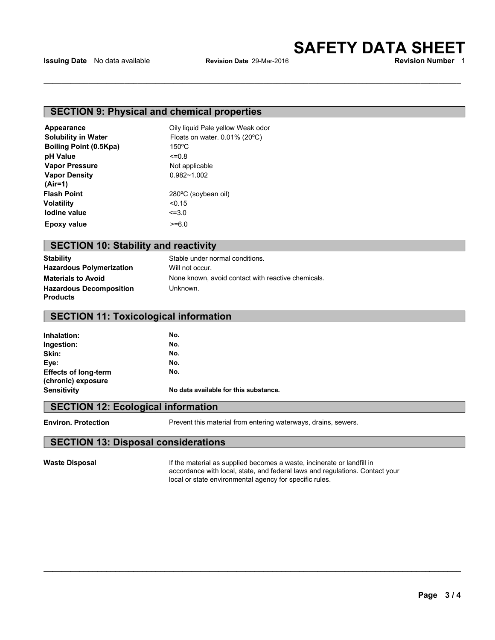## **SECTION 9: Physical and chemical properties**

| Appearance                    | Oily liquid Pale yellow Weak odor           |  |  |  |
|-------------------------------|---------------------------------------------|--|--|--|
| <b>Solubility in Water</b>    | Floats on water. $0.01\%$ (20 $^{\circ}$ C) |  |  |  |
| <b>Boiling Point (0.5Kpa)</b> | $150^{\circ}$ C                             |  |  |  |
| pH Value                      | $<=0.8$                                     |  |  |  |
| <b>Vapor Pressure</b>         | Not applicable                              |  |  |  |
| <b>Vapor Density</b>          | $0.982 - 1.002$                             |  |  |  |
| $(Air=1)$                     |                                             |  |  |  |
| <b>Flash Point</b>            | 280°C (soybean oil)                         |  |  |  |
| Volatility                    | < 0.15                                      |  |  |  |
| lodine value                  | $\leq 3.0$                                  |  |  |  |
| <b>Epoxy value</b>            | $>= 6.0$                                    |  |  |  |

# **SECTION 10: Stability and reactivity**

**Stability Hazardous Polymerization Materials to Avoid Hazardous Decomposition Products**

Stable under normal conditions. Will not occur. None known, avoid contact with reactive chemicals. Unknown.

# **SECTION 11: Toxicological information**

| Inhalation:                 | No.                                   |  |  |  |
|-----------------------------|---------------------------------------|--|--|--|
| Ingestion:                  | No.                                   |  |  |  |
| Skin:                       | No.                                   |  |  |  |
| Eye:                        | No.                                   |  |  |  |
| <b>Effects of long-term</b> | No.                                   |  |  |  |
| (chronic) exposure          |                                       |  |  |  |
| <b>Sensitivity</b>          | No data available for this substance. |  |  |  |
|                             |                                       |  |  |  |

## **SECTION 12: Ecological information**

**Environ. Protection Prevent this material from entering waterways**, drains, sewers.

\_\_\_\_\_\_\_\_\_\_\_\_\_\_\_\_\_\_\_\_\_\_\_\_\_\_\_\_\_\_\_\_\_\_\_\_\_\_\_\_\_\_\_\_\_\_\_\_\_\_\_\_\_\_\_\_\_\_\_\_\_\_\_\_\_\_\_\_\_\_\_\_\_\_\_\_\_\_\_\_\_\_\_\_\_\_\_\_\_\_\_\_\_

### **SECTION 1: Identification of the substance/mixture and of the company/undertaking SECTION 13: Disposal considerations**

**Waste Disposal If the material as supplied becomes a waste, incinerate or landfill in** accordance with local, state, and federal laws and regulations. Contact your local or state environmental agency for specific rules.